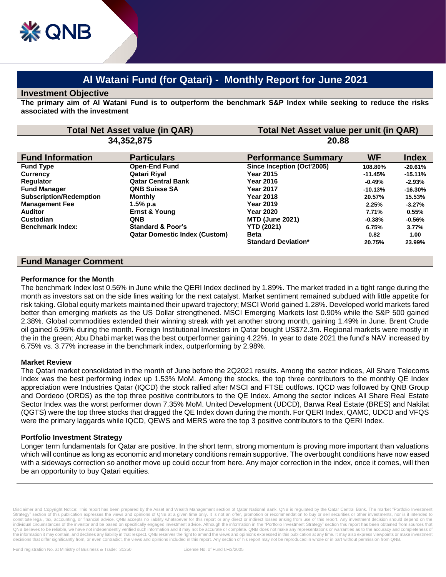# **Al Watani Fund (for Qatari) - Monthly Report for June 2021**

#### **Investment Objective**

**The primary aim of Al Watani Fund is to outperform the benchmark S&P Index while seeking to reduce the risks associated with the investment**

| <b>Total Net Asset value (in QAR)</b><br>34,352,875 |                                      | Total Net Asset value per unit (in QAR)<br>20.88 |           |           |
|-----------------------------------------------------|--------------------------------------|--------------------------------------------------|-----------|-----------|
|                                                     |                                      |                                                  |           |           |
| <b>Fund Type</b>                                    | <b>Open-End Fund</b>                 | Since Inception (Oct'2005)                       | 108.80%   | $-20.61%$ |
| <b>Currency</b>                                     | Qatari Riyal                         | <b>Year 2015</b>                                 | $-11.45%$ | $-15.11%$ |
| Regulator                                           | <b>Qatar Central Bank</b>            | Year 2016                                        | $-0.49%$  | $-2.93%$  |
| <b>Fund Manager</b>                                 | <b>QNB Suisse SA</b>                 | <b>Year 2017</b>                                 | $-10.13%$ | $-16.30%$ |
| <b>Subscription/Redemption</b>                      | <b>Monthly</b>                       | Year 2018                                        | 20.57%    | 15.53%    |
| <b>Management Fee</b>                               | 1.5% p.a                             | <b>Year 2019</b>                                 | 2.25%     | $-3.27%$  |
| <b>Auditor</b>                                      | <b>Ernst &amp; Young</b>             | Year 2020                                        | 7.71%     | 0.55%     |
| Custodian                                           | <b>QNB</b>                           | <b>MTD (June 2021)</b>                           | $-0.38%$  | $-0.56%$  |
| <b>Benchmark Index:</b>                             | <b>Standard &amp; Poor's</b>         | <b>YTD (2021)</b>                                | 6.75%     | 3.77%     |
|                                                     | <b>Qatar Domestic Index (Custom)</b> | <b>Beta</b>                                      | 0.82      | 1.00      |
|                                                     |                                      | <b>Standard Deviation*</b>                       | 20.75%    | 23.99%    |

## **Fund Manager Comment**

#### **Performance for the Month**

The benchmark Index lost 0.56% in June while the QERI Index declined by 1.89%. The market traded in a tight range during the month as investors sat on the side lines waiting for the next catalyst. Market sentiment remained subdued with little appetite for risk taking. Global equity markets maintained their upward trajectory; MSCI World gained 1.28%. Developed world markets fared better than emerging markets as the US Dollar strengthened. MSCI Emerging Markets lost 0.90% while the S&P 500 gained 2.38%. Global commodities extended their winning streak with yet another strong month, gaining 1.49% in June. Brent Crude oil gained 6.95% during the month. Foreign Institutional Investors in Qatar bought US\$72.3m. Regional markets were mostly in the in the green; Abu Dhabi market was the best outperformer gaining 4.22%. In year to date 2021 the fund's NAV increased by 6.75% vs. 3.77% increase in the benchmark index, outperforming by 2.98%.

## **Market Review**

The Qatari market consolidated in the month of June before the 2Q2021 results. Among the sector indices, All Share Telecoms Index was the best performing index up 1.53% MoM. Among the stocks, the top three contributors to the monthly QE Index appreciation were Industries Qatar (IQCD) the stock rallied after MSCI and FTSE outlfows. IQCD was followed by QNB Group and Oordeoo (ORDS) as the top three positive contributors to the QE Index. Among the sector indices All Share Real Estate Sector Index was the worst performer down 7.35% MoM. United Development (UDCD), Barwa Real Estate (BRES) and Nakilat (QGTS) were the top three stocks that dragged the QE Index down during the month. For QERI Index, QAMC, UDCD and VFQS were the primary laggards while IQCD, QEWS and MERS were the top 3 positive contributors to the QERI Index.

## **Portfolio Investment Strategy**

Longer term fundamentals for Qatar are positive. In the short term, strong momentum is proving more important than valuations which will continue as long as economic and monetary conditions remain supportive. The overbought conditions have now eased with a sideways correction so another move up could occur from here. Any major correction in the index, once it comes, will then be an opportunity to buy Qatari equities.

Disclaimer and Copyright Notice: This report has been prepared by the Asset and Wealth Management section of Qatar National Bank. QNB is regulated by the Qatar Central Bank. The market "Portfolio Investme Strategy" section of this publication expresses the views and opinions of QNB at a given time only. It is not an offer, promotion or recommendation to buy or sell securities or other investments, nor is it intended to<br>cons individual circumstances of the investor and be based on specifically engaged investment advice. Although the information in the "Portfolio Investment Strategy" section this report has been obtained from sources that QNB believes to be reliable, we have not independently verified such information and it may not be accurate or complete. QNB does not make any representations or warranties as to the accuracy and completeness of<br>the inform decisions that differ significantly from, or even contradict, the views and opinions included in this report. Any section of his report may not be reproduced in whole or in part without permission from QNB.